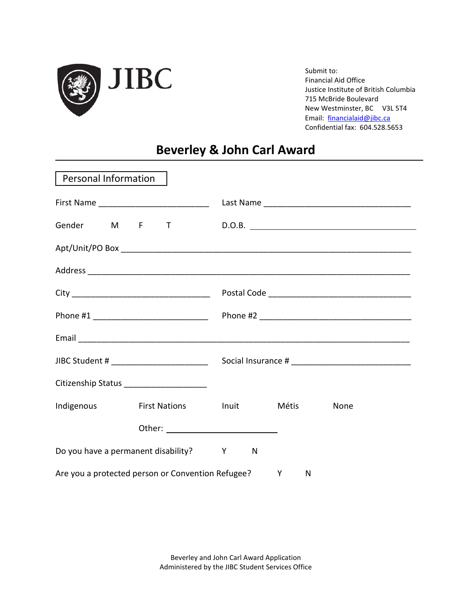

Submit to: Financial Aid Office Justice Institute of British Columbia 715 McBride Boulevard New Westminster, BC V3L 5T4 Email: [financialaid@jibc.ca](mailto:financialaid@jibc.ca) Confidential fax: 604.528.5653

## **Beverley & John Carl Award**

| Personal Information |                                                     |   |      |  |
|----------------------|-----------------------------------------------------|---|------|--|
|                      |                                                     |   |      |  |
|                      |                                                     |   |      |  |
|                      |                                                     |   |      |  |
|                      |                                                     |   |      |  |
|                      |                                                     |   |      |  |
|                      |                                                     |   |      |  |
|                      |                                                     |   |      |  |
|                      |                                                     |   |      |  |
|                      | Citizenship Status ______________________           |   |      |  |
| Indigenous           | First Nations Metrich Inuit Métis                   |   | None |  |
|                      |                                                     |   |      |  |
|                      | Do you have a permanent disability? Y               | N |      |  |
|                      | Are you a protected person or Convention Refugee? Y | N |      |  |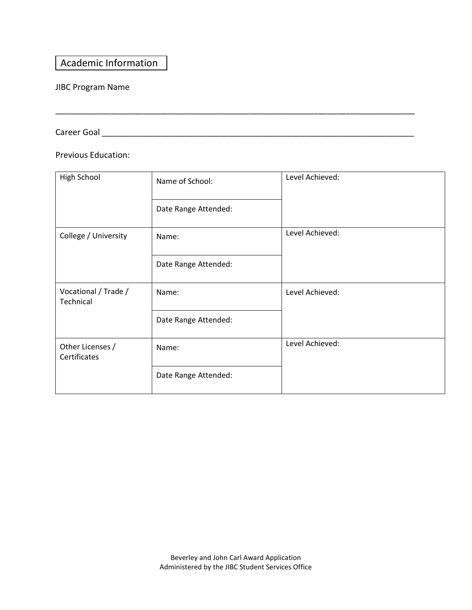## Academic Information

### JIBC Program Name

Career Goal \_\_\_\_\_\_\_\_\_\_\_\_\_\_\_\_\_\_\_\_\_\_\_\_\_\_\_\_\_\_\_\_\_\_\_\_\_\_\_\_\_\_\_\_\_\_\_\_\_\_\_\_\_\_\_\_\_\_\_\_\_\_\_\_\_\_\_\_\_\_\_\_\_\_

Previous Education:

| <b>High School</b>                | Name of School:      | Level Achieved: |
|-----------------------------------|----------------------|-----------------|
|                                   | Date Range Attended: |                 |
| College / University              | Name:                | Level Achieved: |
|                                   | Date Range Attended: |                 |
| Vocational / Trade /<br>Technical | Name:                | Level Achieved: |
|                                   | Date Range Attended: |                 |
| Other Licenses /<br>Certificates  | Name:                | Level Achieved: |
|                                   | Date Range Attended: |                 |

\_\_\_\_\_\_\_\_\_\_\_\_\_\_\_\_\_\_\_\_\_\_\_\_\_\_\_\_\_\_\_\_\_\_\_\_\_\_\_\_\_\_\_\_\_\_\_\_\_\_\_\_\_\_\_\_\_\_\_\_\_\_\_\_\_\_\_\_\_\_\_\_\_\_\_\_\_\_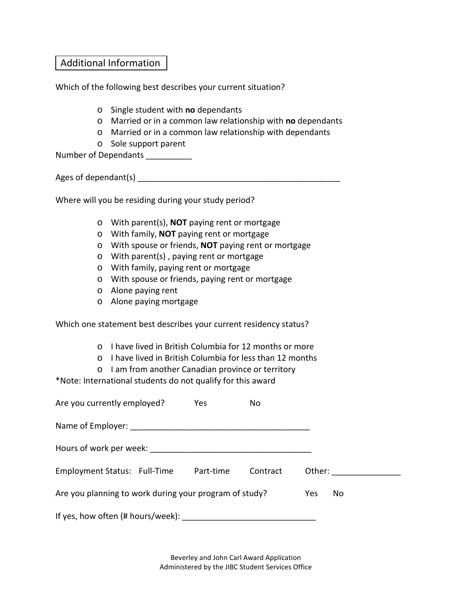## Additional Information

Which of the following best describes your current situation?

- o Single student with **no** dependants
- o Married or in a common law relationship with **no** dependants
- o Married or in a common law relationship with dependants
- o Sole support parent

Number of Dependants \_\_\_\_\_\_\_\_\_\_

Ages of dependant(s) example a set of  $\lambda$ 

Where will you be residing during your study period?

- o With parent(s), **NOT** paying rent or mortgage
- o With family, **NOT** paying rent or mortgage
- o With spouse or friends, **NOT** paying rent or mortgage
- o With parent(s) , paying rent or mortgage
- o With family, paying rent or mortgage
- o With spouse or friends, paying rent or mortgage
- o Alone paying rent
- o Alone paying mortgage

Which one statement best describes your current residency status?

- o I have lived in British Columbia for 12 months or more
- o I have lived in British Columbia for less than 12 months
- o I am from another Canadian province or territory

\*Note: International students do not qualify for this award

| Are you currently employed?                            | Yes       | No.      |        |    |
|--------------------------------------------------------|-----------|----------|--------|----|
|                                                        |           |          |        |    |
| Hours of work per week:                                |           |          |        |    |
| Employment Status: Full-Time                           | Part-time | Contract | Other: |    |
| Are you planning to work during your program of study? |           |          | Yes    | No |
| If yes, how often (# hours/week):                      |           |          |        |    |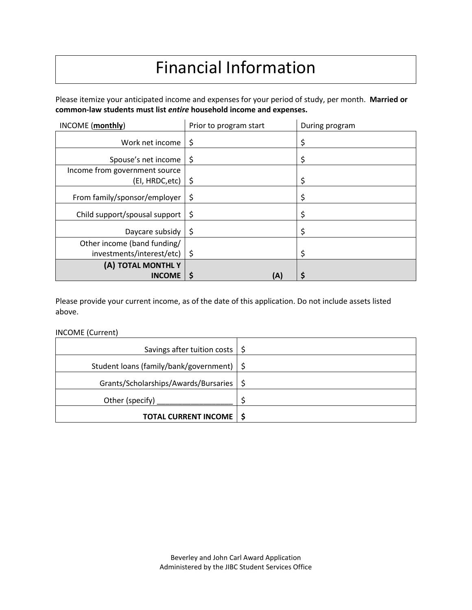# Financial Information

Please itemize your anticipated income and expenses for your period of study, per month. **Married or common-law students must list** *entire* **household income and expenses.** 

| INCOME (monthly)              | Prior to program start | During program |
|-------------------------------|------------------------|----------------|
| Work net income               | \$                     |                |
| Spouse's net income           | \$                     |                |
| Income from government source |                        |                |
| (EI, HRDC, etc)               | \$                     | \$             |
| From family/sponsor/employer  | \$                     |                |
| Child support/spousal support | -\$                    |                |
| Daycare subsidy               | \$                     |                |
| Other income (band funding/   |                        |                |
| investments/interest/etc)     | $\ddot{\bm{\zeta}}$    |                |
| (A) TOTAL MONTHLY             |                        |                |
| <b>INCOME</b>                 | \$<br>(A)              |                |

Please provide your current income, as of the date of this application. Do not include assets listed above.

#### INCOME (Current)

| Savings after tuition costs $\frac{1}{5}$   |  |
|---------------------------------------------|--|
| Student loans (family/bank/government)   \$ |  |
| Grants/Scholarships/Awards/Bursaries   \$   |  |
| Other (specify)                             |  |
| <b>TOTAL CURRENT INCOME   \$</b>            |  |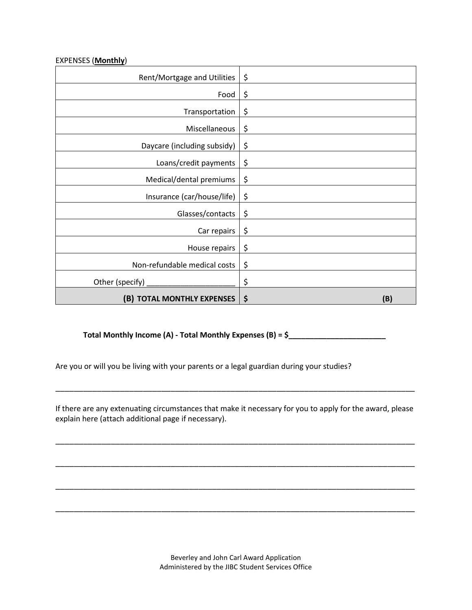#### EXPENSES (**Monthly**)

| Rent/Mortgage and Utilities  | \$        |
|------------------------------|-----------|
| Food                         | \$        |
| Transportation               | \$        |
| Miscellaneous                | \$        |
| Daycare (including subsidy)  | \$        |
| Loans/credit payments        | \$        |
| Medical/dental premiums      | \$        |
| Insurance (car/house/life)   | \$        |
| Glasses/contacts             | \$        |
| Car repairs                  | \$        |
| House repairs                | \$        |
| Non-refundable medical costs | \$        |
| Other (specify) _            | \$        |
| (B) TOTAL MONTHLY EXPENSES   | \$<br>(B) |

**Total Monthly Income (A) - Total Monthly Expenses (B) = \$\_\_\_\_\_\_\_\_\_\_\_\_\_\_\_\_\_\_\_\_\_\_\_**

Are you or will you be living with your parents or a legal guardian during your studies?

If there are any extenuating circumstances that make it necessary for you to apply for the award, please explain here (attach additional page if necessary).

\_\_\_\_\_\_\_\_\_\_\_\_\_\_\_\_\_\_\_\_\_\_\_\_\_\_\_\_\_\_\_\_\_\_\_\_\_\_\_\_\_\_\_\_\_\_\_\_\_\_\_\_\_\_\_\_\_\_\_\_\_\_\_\_\_\_\_\_\_\_\_\_\_\_\_\_\_\_

\_\_\_\_\_\_\_\_\_\_\_\_\_\_\_\_\_\_\_\_\_\_\_\_\_\_\_\_\_\_\_\_\_\_\_\_\_\_\_\_\_\_\_\_\_\_\_\_\_\_\_\_\_\_\_\_\_\_\_\_\_\_\_\_\_\_\_\_\_\_\_\_\_\_\_\_\_\_

\_\_\_\_\_\_\_\_\_\_\_\_\_\_\_\_\_\_\_\_\_\_\_\_\_\_\_\_\_\_\_\_\_\_\_\_\_\_\_\_\_\_\_\_\_\_\_\_\_\_\_\_\_\_\_\_\_\_\_\_\_\_\_\_\_\_\_\_\_\_\_\_\_\_\_\_\_\_

\_\_\_\_\_\_\_\_\_\_\_\_\_\_\_\_\_\_\_\_\_\_\_\_\_\_\_\_\_\_\_\_\_\_\_\_\_\_\_\_\_\_\_\_\_\_\_\_\_\_\_\_\_\_\_\_\_\_\_\_\_\_\_\_\_\_\_\_\_\_\_\_\_\_\_\_\_\_

\_\_\_\_\_\_\_\_\_\_\_\_\_\_\_\_\_\_\_\_\_\_\_\_\_\_\_\_\_\_\_\_\_\_\_\_\_\_\_\_\_\_\_\_\_\_\_\_\_\_\_\_\_\_\_\_\_\_\_\_\_\_\_\_\_\_\_\_\_\_\_\_\_\_\_\_\_\_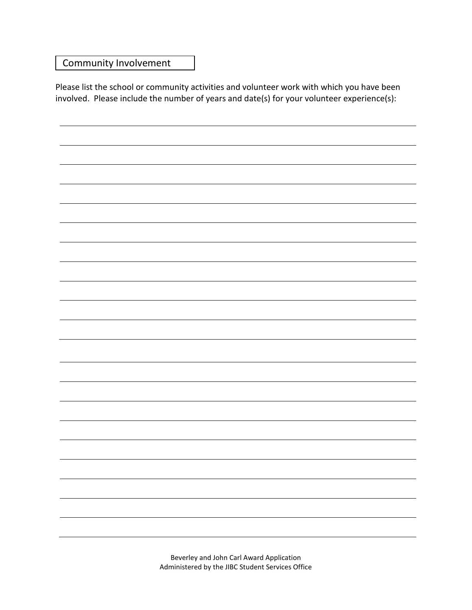## Community Involvement

Please list the school or community activities and volunteer work with which you have been involved. Please include the number of years and date(s) for your volunteer experience(s):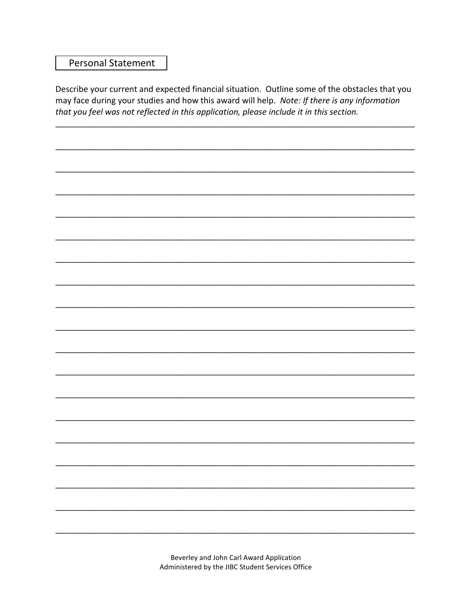## **Personal Statement**

Describe your current and expected financial situation. Outline some of the obstacles that you may face during your studies and how this award will help. Note: If there is any information that you feel was not reflected in this application, please include it in this section.